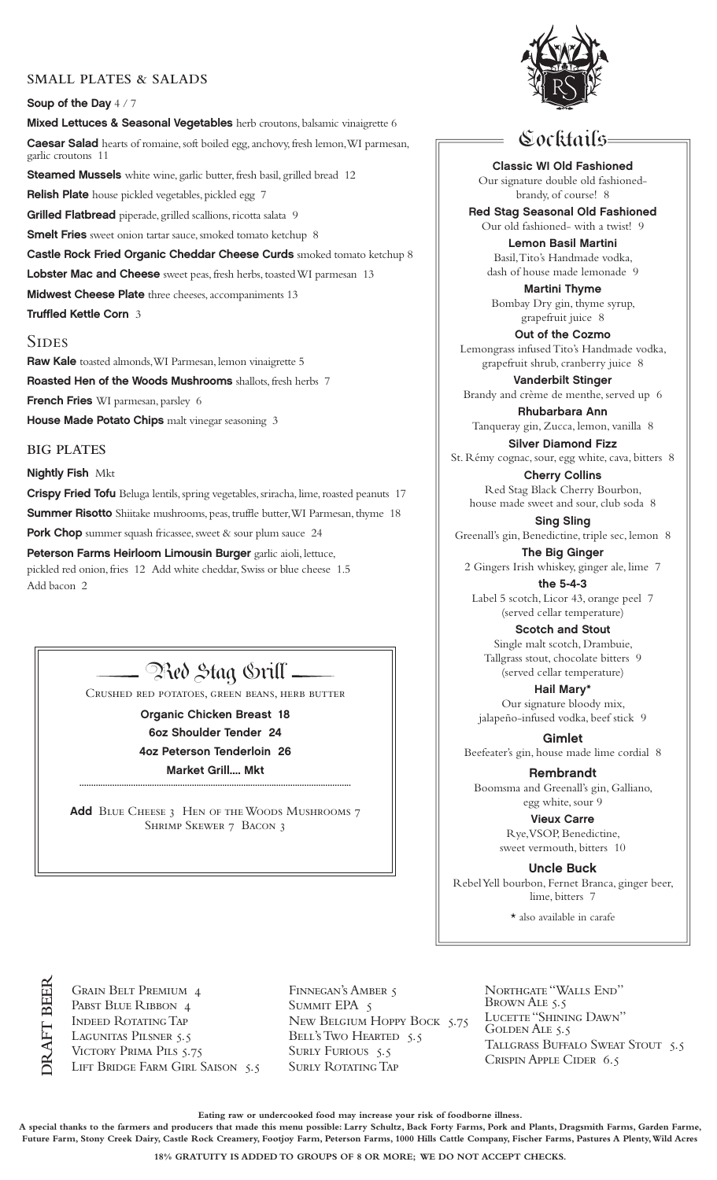### **SMALL PLATES & SALADS**

### Soup of the Day  $4/7$

Mixed Lettuces & Seasonal Vegetables herb croutons, balsamic vinaigrette 6

Caesar Salad hearts of romaine, soft boiled egg, anchovy, fresh lemon, WI parmesan, garlic croutons 11

Steamed Mussels white wine, garlic butter, fresh basil, grilled bread 12

Relish Plate house pickled vegetables, pickled egg 7

Grilled Flatbread piperade, grilled scallions, ricotta salata 9 Smelt Fries sweet onion tartar sauce, smoked tomato ketchup 8

Castle Rock Fried Organic Cheddar Cheese Curds smoked tomato ketchup 8

Lobster Mac and Cheese sweet peas, fresh herbs, toasted WI parmesan 13

Midwest Cheese Plate three cheeses, accompaniments 13

Truffled Kettle Corn 3

### **SIDES**

Raw Kale toasted almonds, WI Parmesan, lemon vinaigrette 5 Roasted Hen of the Woods Mushrooms shallots, fresh herbs 7 French Fries WI parmesan, parsley 6 House Made Potato Chips malt vinegar seasoning 3

**BIG PLATES**

### **Nightly Fish Mkt**

Crispy Fried Tofu Beluga lentils, spring vegetables, sriracha, lime, roasted peanuts 17 Summer Risotto Shiitake mushrooms, peas, truffle butter, WI Parmesan, thyme 18

Pork Chop summer squash fricassee, sweet & sour plum sauce 24 Peterson Farms Heirloom Limousin Burger garlic aioli, lettuce, pickled red onion, fries 12 Add white cheddar, Swiss or blue cheese 1.5 Add bacon 2

# — Red Stag Srill –

Crushed red potatoes, green beans, herb butter

Organic Chicken Breast 18 6oz Shoulder Tender 24 4oz Peterson Tenderloin 26 Market Grill.... Mkt

Add BLUE CHEESE 3 HEN OF THE WOODS MUSHROOMS 7 Shrimp Skewer 7 Bacon 3

....................................................................................................................



## Cocktails

Classic WI Old Fashioned Our signature double old fashionedbrandy, of course! 8

Red Stag Seasonal Old Fashioned Our old fashioned- with a twist! 9

Lemon Basil Martini Basil, Tito's Handmade vodka, dash of house made lemonade 9

Martini Thyme Bombay Dry gin, thyme syrup, grapefruit juice 8

Out of the Cozmo Lemongrass infused Tito's Handmade vodka, grapefruit shrub, cranberry juice 8

Vanderbilt Stinger Brandy and crème de menthe, served up 6

Rhubarbara Ann Tanqueray gin, Zucca, lemon, vanilla 8

Silver Diamond Fizz St. Rémy cognac, sour, egg white, cava, bitters 8

Cherry Collins Red Stag Black Cherry Bourbon, house made sweet and sour, club soda 8

Sing Sling Greenall's gin, Benedictine, triple sec, lemon 8

The Big Ginger 2 Gingers Irish whiskey, ginger ale, lime 7

the 5-4-3 Label 5 scotch, Licor 43, orange peel 7 (served cellar temperature)

Scotch and Stout Single malt scotch, Drambuie, Tallgrass stout, chocolate bitters 9 (served cellar temperature)

Hail Mary\* Our signature bloody mix, jalapeño-infused vodka, beef stick 9

Gimlet Beefeater's gin, house made lime cordial 8

Rembrandt Boomsma and Greenall's gin, Galliano, egg white, sour 9

> Vieux Carre Rye, VSOP, Benedictine, sweet vermouth, bitters 10

Uncle Buck Rebel Yell bourbon, Fernet Branca, ginger beer, lime, bitters 7

\* also available in carafe

**DRAFT BEER**

Grain Belt Premium 4 PABST BLUE RIBBON 4 Indeed Rotating Tap LAGUNITAS PILSNER 5.5 Victory Prima Pils 5.75 LIFT BRIDGE FARM GIRL SAISON 5.5

Finnegan's Amber 5 SUMMIT EPA 5 New Belgium Hoppy Bock 5.75 BELL'S TWO HEARTED 5.5 SURLY FURIOUS 5.5 SURLY ROTATING TAP

NORTHGATE "WALLS END" BROWN ALE 5.5 LUCETTE "SHINING DAWN" GOLDEN ALE 5.5 TALLGRASS BUFFALO SWEAT STOUT 5.5 Crispin Apple Cider 6.5

**Eating raw or undercooked food may increase your risk of foodborne illness.**

**A special thanks to the farmers and producers that made this menu possible: Larry Schultz, Back Forty Farms, Pork and Plants, Dragsmith Farms, Garden Farme, Future Farm, Stony Creek Dairy, Castle Rock Creamery, Footjoy Farm, Peterson Farms, 1000 Hills Cattle Company, Fischer Farms, Pastures A Plenty, Wild Acres**

**18% GRATUITY IS ADDED TO GROUPS OF 8 OR MORE; WE DO NOT ACCEPT CHECKS.**